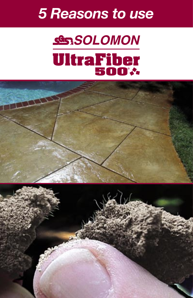## *5 Reasons to use*

# **SGSSOLOMON UltraFiber**

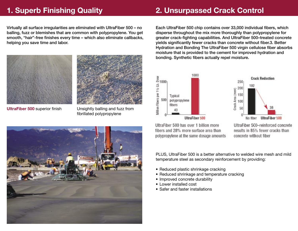## **1. Superb Finishing Quality**

## **2. Unsurpassed Crack Control**

Virtually all surface irregularities are eliminated with UltraFiber 500 – no balling, fuzz or blemishes that are common with polypropylene. You get smooth, "hair"-free finishes every time – which also eliminate callbacks, helping you save time and labor.



**UltraFiber 500** superior finish Unsightly balling and fuzz from fibrillated polypropylene

Each UltraFiber 500 chip contains over 33,000 individual fibers, which disperse throughout the mix more thoroughly than polypropylene for greater crack-fighting capabilities. And UltraFiber 500–treated concrete yields significantly fewer cracks than concrete without fiber.3. Better Hydration and Bonding The UltraFiber 500 virgin cellulose fiber absorbs moisture that is provided to the cement for improved hydration and bonding. Synthetic fibers actually repel moisture.





UltraFiber 500 has over 1 billion more fibers and 28% more surface area than polypropylene at the same dosage amounts

UltraFiber 500-reinforced concrete results in 85% fewer cracks than concrete without fiber

PLUS, UltraFiber 500 is a better alternative to welded wire mesh and mild temperature steel as secondary reinforcement by providing:

- Reduced plastic shrinkage cracking
- Reduced shrinkage and temperature cracking
- Improved concrete durability
- Lower installed cost
- Safer and faster installations

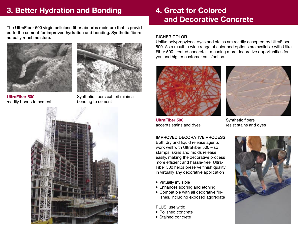## **3. Better Hydration and Bonding**

## **4. Great for Colored and Decorative Concrete**

The UltraFiber 500 virgin cellulose fiber absorbs moisture that is provided to the cement for improved hydration and bonding. Synthetic fibers actually repel moisture.



**UltraFiber 500** readily bonds to cement



Synthetic fibers exhibit minimal bonding to cement



#### RICHER COLOR

Unlike polypropylene, dyes and stains are readily accepted by UltraFiber 500. As a result, a wide range of color and options are available with Ultra-Fiber 500–treated concrete – meaning more decorative opportunities for you and higher customer satisfaction.



**UltraFiber 500** accepts stains and dyes



Synthetic fibers resist stains and dyes

#### IMPROVED DECORATIVE PROCESS

Both dry and liquid release agents work well with UltraFiber 500 – so stamps, skins and molds release easily, making the decorative process more efficient and hassle-free. Ultra-Fiber 500 helps preserve finish quality in virtually any decorative application

- Virtually invisible
- Enhances scoring and etching
- Compatible with all decorative finishes, including exposed aggregate

PLUS, use with:

- Polished concrete
- Stained concrete

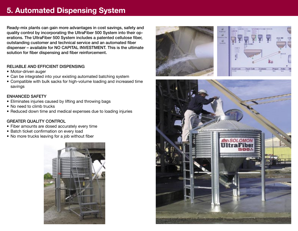### **5. Automated Dispensing System**

Ready-mix plants can gain more advantages in cost savings, safety and quality control by incorporating the UltraFiber 500 System into their operations. The UltraFiber 500 System includes a patented cellulose fiber, outstanding customer and technical service and an automated fiber dispenser – available for NO CAPITAL INVESTMENT. This is the ultimate solution for fiber dispensing and fiber reinforcement.

#### RELIABLE AND EFFICIENT DISPENSING

- Motor-driven auger
- Can be integrated into your existing automated batching system
- Compatible with bulk sacks for high-volume loading and increased time savings

#### ENHANCED SAFETY

- Eliminates injuries caused by lifting and throwing bags
- No need to climb trucks
- Reduced down time and medical expenses due to loading injuries

#### GREATER QUALITY CONTROL

- Fiber amounts are dosed accurately every time
- Batch ticket confirmation on every load
- No more trucks leaving for a job without fiber